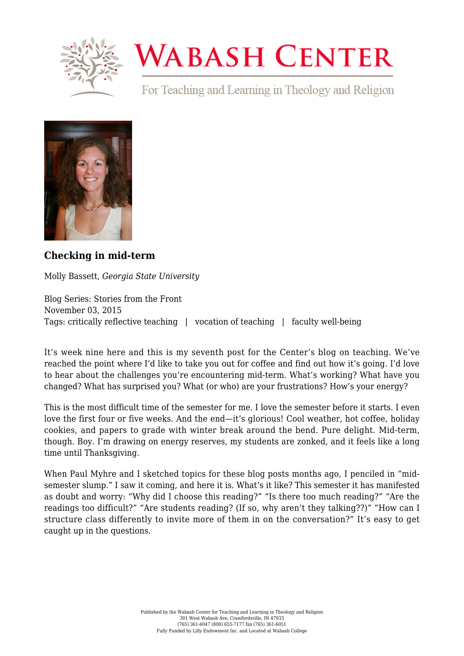

## **WABASH CENTER**

For Teaching and Learning in Theology and Religion



## **[Checking in mid-term](https://www.wabashcenter.wabash.edu/2015/11/checking-in-mid-term/)**

Molly Bassett, *Georgia State University*

Blog Series: Stories from the Front November 03, 2015 Tags: critically reflective teaching | vocation of teaching | faculty well-being

It's week nine here and this is my seventh post for the Center's blog on teaching. We've reached the point where I'd like to take you out for coffee and find out how it's going. I'd love to hear about the challenges you're encountering mid-term. What's working? What have you changed? What has surprised you? What (or who) are your frustrations? How's your energy?

This is the most difficult time of the semester for me. I love the semester before it starts. I even love the first four or five weeks. And the end—it's glorious! Cool weather, hot coffee, holiday cookies, and papers to grade with winter break around the bend. Pure delight. Mid-term, though. Boy. I'm drawing on energy reserves, my students are zonked, and it feels like a long time until Thanksgiving.

When Paul Myhre and I sketched topics for these blog posts months ago, I penciled in "midsemester slump." I saw it coming, and here it is. What's it like? This semester it has manifested as doubt and worry: "Why did I choose this reading?" "Is there too much reading?" "Are the readings too difficult?" "Are students reading? (If so, why aren't they talking??)" "How can I structure class differently to invite more of them in on the conversation?" It's easy to get caught up in the questions.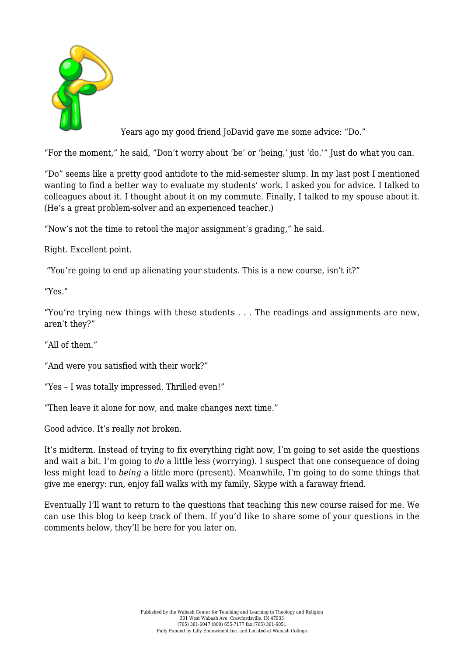

Years ago my good friend JoDavid gave me some advice: "Do."

"For the moment," he said, "Don't worry about 'be' or 'being,' just 'do.'" Just do what you can.

"Do" seems like a pretty good antidote to the mid-semester slump. In my last post I mentioned wanting to find a better way to evaluate my students' work. I asked you for advice. I talked to colleagues about it. I thought about it on my commute. Finally, I talked to my spouse about it. (He's a great problem-solver and an experienced teacher.)

"Now's not the time to retool the major assignment's grading," he said.

Right. Excellent point.

"You're going to end up alienating your students. This is a new course, isn't it?"

"Yes."

"You're trying new things with these students . . . The readings and assignments are new, aren't they?"

"All of them."

"And were you satisfied with their work?"

"Yes – I was totally impressed. Thrilled even!"

"Then leave it alone for now, and make changes next time."

Good advice. It's really *not* broken.

It's midterm. Instead of trying to fix everything right now, I'm going to set aside the questions and wait a bit. I'm going to *do* a little less (worrying). I suspect that one consequence of doing less might lead to *being* a little more (present). Meanwhile, I'm going to do some things that give me energy: run, enjoy fall walks with my family, Skype with a faraway friend.

Eventually I'll want to return to the questions that teaching this new course raised for me. We can use this blog to keep track of them. If you'd like to share some of your questions in the comments below, they'll be here for you later on.